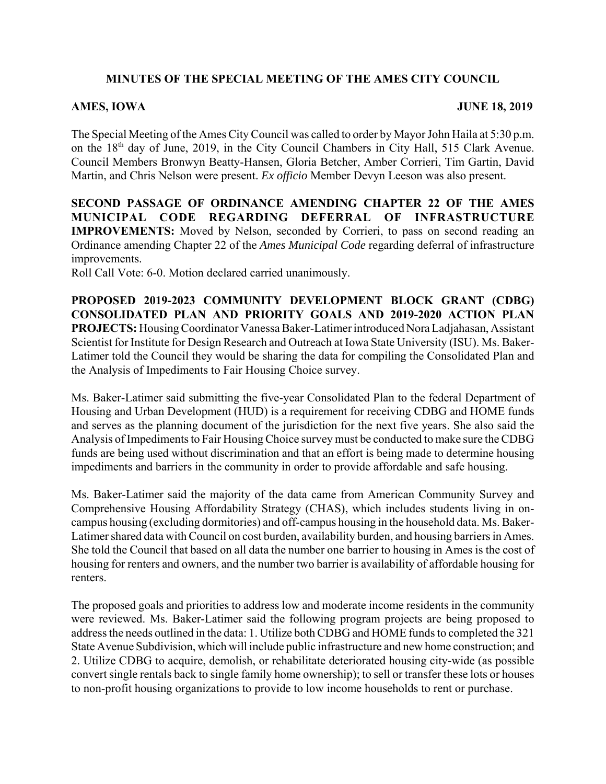## **MINUTES OF THE SPECIAL MEETING OF THE AMES CITY COUNCIL**

## AMES, IOWA **JUNE 18, 2019**

The Special Meeting of the Ames City Council was called to order by Mayor John Haila at 5:30 p.m. on the 18th day of June, 2019, in the City Council Chambers in City Hall, 515 Clark Avenue. Council Members Bronwyn Beatty-Hansen, Gloria Betcher, Amber Corrieri, Tim Gartin, David Martin, and Chris Nelson were present. *Ex officio* Member Devyn Leeson was also present.

**SECOND PASSAGE OF ORDINANCE AMENDING CHAPTER 22 OF THE AMES MUNICIPAL CODE REGARDING DEFERRAL OF INFRASTRUCTURE IMPROVEMENTS:** Moved by Nelson, seconded by Corrieri, to pass on second reading an Ordinance amending Chapter 22 of the *Ames Municipal Code* regarding deferral of infrastructure improvements.

Roll Call Vote: 6-0. Motion declared carried unanimously.

**PROPOSED 2019-2023 COMMUNITY DEVELOPMENT BLOCK GRANT (CDBG) CONSOLIDATED PLAN AND PRIORITY GOALS AND 2019-2020 ACTION PLAN PROJECTS:** Housing Coordinator Vanessa Baker-Latimer introduced Nora Ladjahasan, Assistant Scientist for Institute for Design Research and Outreach at Iowa State University (ISU). Ms. Baker-Latimer told the Council they would be sharing the data for compiling the Consolidated Plan and the Analysis of Impediments to Fair Housing Choice survey.

Ms. Baker-Latimer said submitting the five-year Consolidated Plan to the federal Department of Housing and Urban Development (HUD) is a requirement for receiving CDBG and HOME funds and serves as the planning document of the jurisdiction for the next five years. She also said the Analysis of Impediments to Fair Housing Choice survey must be conducted to make sure the CDBG funds are being used without discrimination and that an effort is being made to determine housing impediments and barriers in the community in order to provide affordable and safe housing.

Ms. Baker-Latimer said the majority of the data came from American Community Survey and Comprehensive Housing Affordability Strategy (CHAS), which includes students living in oncampus housing (excluding dormitories) and off-campus housing in the household data. Ms. Baker-Latimer shared data with Council on cost burden, availability burden, and housing barriers in Ames. She told the Council that based on all data the number one barrier to housing in Ames is the cost of housing for renters and owners, and the number two barrier is availability of affordable housing for renters.

The proposed goals and priorities to address low and moderate income residents in the community were reviewed. Ms. Baker-Latimer said the following program projects are being proposed to address the needs outlined in the data: 1. Utilize both CDBG and HOME funds to completed the 321 State Avenue Subdivision, which will include public infrastructure and new home construction; and 2. Utilize CDBG to acquire, demolish, or rehabilitate deteriorated housing city-wide (as possible convert single rentals back to single family home ownership); to sell or transfer these lots or houses to non-profit housing organizations to provide to low income households to rent or purchase.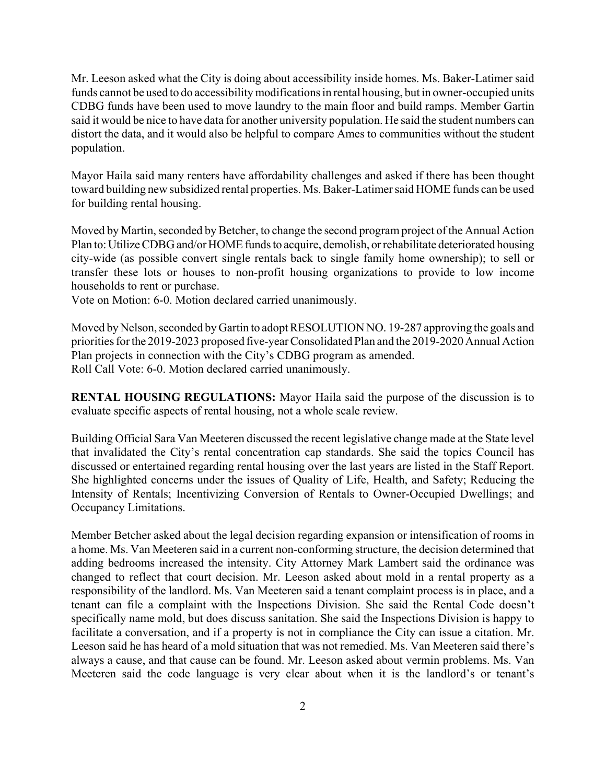Mr. Leeson asked what the City is doing about accessibility inside homes. Ms. Baker-Latimer said funds cannot be used to do accessibility modifications in rental housing, but in owner-occupied units CDBG funds have been used to move laundry to the main floor and build ramps. Member Gartin said it would be nice to have data for another university population. He said the student numbers can distort the data, and it would also be helpful to compare Ames to communities without the student population.

Mayor Haila said many renters have affordability challenges and asked if there has been thought toward building new subsidized rental properties. Ms. Baker-Latimer said HOME funds can be used for building rental housing.

Moved by Martin, seconded by Betcher, to change the second program project of the Annual Action Plan to: Utilize CDBG and/or HOME funds to acquire, demolish, or rehabilitate deteriorated housing city-wide (as possible convert single rentals back to single family home ownership); to sell or transfer these lots or houses to non-profit housing organizations to provide to low income households to rent or purchase.

Vote on Motion: 6-0. Motion declared carried unanimously.

Moved by Nelson, seconded by Gartin to adopt RESOLUTION NO. 19-287 approving the goals and priorities for the 2019-2023 proposed five-year Consolidated Plan and the 2019-2020 Annual Action Plan projects in connection with the City's CDBG program as amended. Roll Call Vote: 6-0. Motion declared carried unanimously.

**RENTAL HOUSING REGULATIONS:** Mayor Haila said the purpose of the discussion is to evaluate specific aspects of rental housing, not a whole scale review.

Building Official Sara Van Meeteren discussed the recent legislative change made at the State level that invalidated the City's rental concentration cap standards. She said the topics Council has discussed or entertained regarding rental housing over the last years are listed in the Staff Report. She highlighted concerns under the issues of Quality of Life, Health, and Safety; Reducing the Intensity of Rentals; Incentivizing Conversion of Rentals to Owner-Occupied Dwellings; and Occupancy Limitations.

Member Betcher asked about the legal decision regarding expansion or intensification of rooms in a home. Ms. Van Meeteren said in a current non-conforming structure, the decision determined that adding bedrooms increased the intensity. City Attorney Mark Lambert said the ordinance was changed to reflect that court decision. Mr. Leeson asked about mold in a rental property as a responsibility of the landlord. Ms. Van Meeteren said a tenant complaint process is in place, and a tenant can file a complaint with the Inspections Division. She said the Rental Code doesn't specifically name mold, but does discuss sanitation. She said the Inspections Division is happy to facilitate a conversation, and if a property is not in compliance the City can issue a citation. Mr. Leeson said he has heard of a mold situation that was not remedied. Ms. Van Meeteren said there's always a cause, and that cause can be found. Mr. Leeson asked about vermin problems. Ms. Van Meeteren said the code language is very clear about when it is the landlord's or tenant's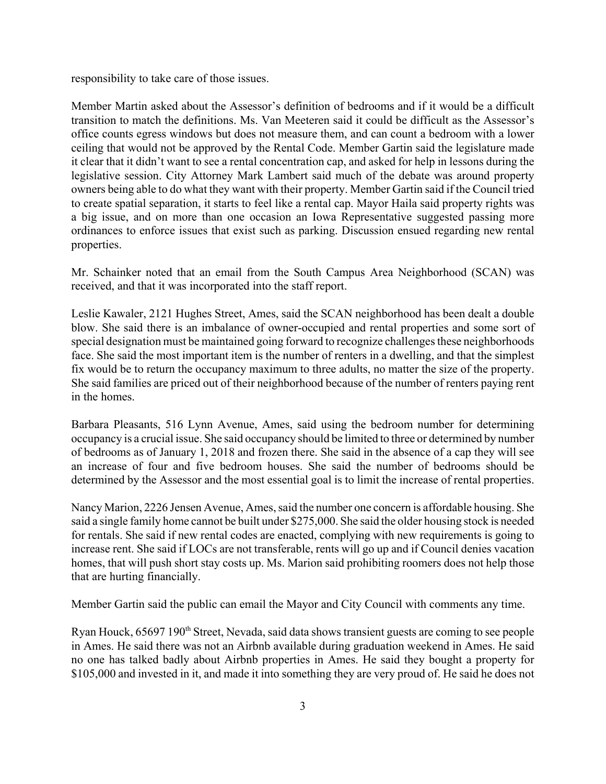responsibility to take care of those issues.

Member Martin asked about the Assessor's definition of bedrooms and if it would be a difficult transition to match the definitions. Ms. Van Meeteren said it could be difficult as the Assessor's office counts egress windows but does not measure them, and can count a bedroom with a lower ceiling that would not be approved by the Rental Code. Member Gartin said the legislature made it clear that it didn't want to see a rental concentration cap, and asked for help in lessons during the legislative session. City Attorney Mark Lambert said much of the debate was around property owners being able to do what they want with their property. Member Gartin said if the Council tried to create spatial separation, it starts to feel like a rental cap. Mayor Haila said property rights was a big issue, and on more than one occasion an Iowa Representative suggested passing more ordinances to enforce issues that exist such as parking. Discussion ensued regarding new rental properties.

Mr. Schainker noted that an email from the South Campus Area Neighborhood (SCAN) was received, and that it was incorporated into the staff report.

Leslie Kawaler, 2121 Hughes Street, Ames, said the SCAN neighborhood has been dealt a double blow. She said there is an imbalance of owner-occupied and rental properties and some sort of special designation must be maintained going forward to recognize challenges these neighborhoods face. She said the most important item is the number of renters in a dwelling, and that the simplest fix would be to return the occupancy maximum to three adults, no matter the size of the property. She said families are priced out of their neighborhood because of the number of renters paying rent in the homes.

Barbara Pleasants, 516 Lynn Avenue, Ames, said using the bedroom number for determining occupancy is a crucial issue. She said occupancy should be limited to three or determined by number of bedrooms as of January 1, 2018 and frozen there. She said in the absence of a cap they will see an increase of four and five bedroom houses. She said the number of bedrooms should be determined by the Assessor and the most essential goal is to limit the increase of rental properties.

Nancy Marion, 2226 Jensen Avenue, Ames, said the number one concern is affordable housing. She said a single family home cannot be built under \$275,000. She said the older housing stock is needed for rentals. She said if new rental codes are enacted, complying with new requirements is going to increase rent. She said if LOCs are not transferable, rents will go up and if Council denies vacation homes, that will push short stay costs up. Ms. Marion said prohibiting roomers does not help those that are hurting financially.

Member Gartin said the public can email the Mayor and City Council with comments any time.

Ryan Houck, 65697 190<sup>th</sup> Street, Nevada, said data shows transient guests are coming to see people in Ames. He said there was not an Airbnb available during graduation weekend in Ames. He said no one has talked badly about Airbnb properties in Ames. He said they bought a property for \$105,000 and invested in it, and made it into something they are very proud of. He said he does not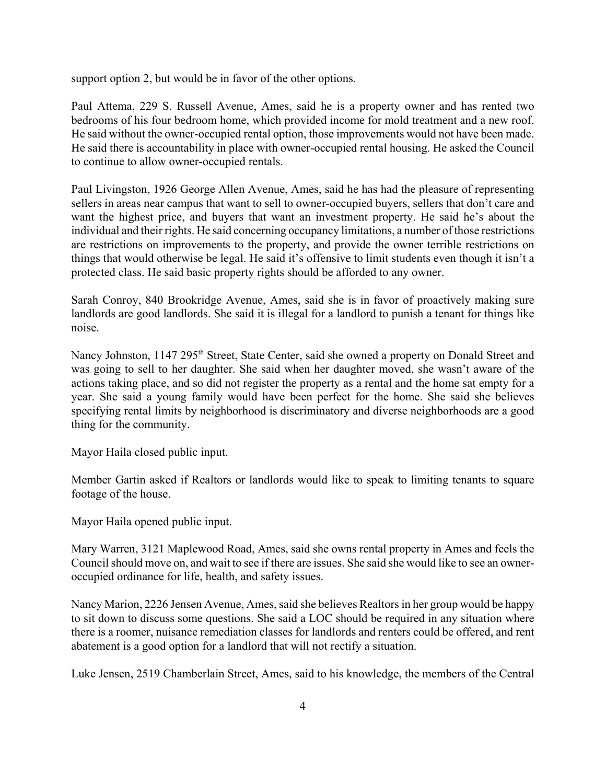support option 2, but would be in favor of the other options.

Paul Attema, 229 S. Russell Avenue, Ames, said he is a property owner and has rented two bedrooms of his four bedroom home, which provided income for mold treatment and a new roof. He said without the owner-occupied rental option, those improvements would not have been made. He said there is accountability in place with owner-occupied rental housing. He asked the Council to continue to allow owner-occupied rentals.

Paul Livingston, 1926 George Allen Avenue, Ames, said he has had the pleasure of representing sellers in areas near campus that want to sell to owner-occupied buyers, sellers that don't care and want the highest price, and buyers that want an investment property. He said he's about the individual and their rights. He said concerning occupancy limitations, a number of those restrictions are restrictions on improvements to the property, and provide the owner terrible restrictions on things that would otherwise be legal. He said it's offensive to limit students even though it isn't a protected class. He said basic property rights should be afforded to any owner.

Sarah Conroy, 840 Brookridge Avenue, Ames, said she is in favor of proactively making sure landlords are good landlords. She said it is illegal for a landlord to punish a tenant for things like noise.

Nancy Johnston, 1147 295<sup>th</sup> Street, State Center, said she owned a property on Donald Street and was going to sell to her daughter. She said when her daughter moved, she wasn't aware of the actions taking place, and so did not register the property as a rental and the home sat empty for a year. She said a young family would have been perfect for the home. She said she believes specifying rental limits by neighborhood is discriminatory and diverse neighborhoods are a good thing for the community.

Mayor Haila closed public input.

Member Gartin asked if Realtors or landlords would like to speak to limiting tenants to square footage of the house.

Mayor Haila opened public input.

Mary Warren, 3121 Maplewood Road, Ames, said she owns rental property in Ames and feels the Council should move on, and wait to see if there are issues. She said she would like to see an owneroccupied ordinance for life, health, and safety issues.

Nancy Marion, 2226 Jensen Avenue, Ames, said she believes Realtors in her group would be happy to sit down to discuss some questions. She said a LOC should be required in any situation where there is a roomer, nuisance remediation classes for landlords and renters could be offered, and rent abatement is a good option for a landlord that will not rectify a situation.

Luke Jensen, 2519 Chamberlain Street, Ames, said to his knowledge, the members of the Central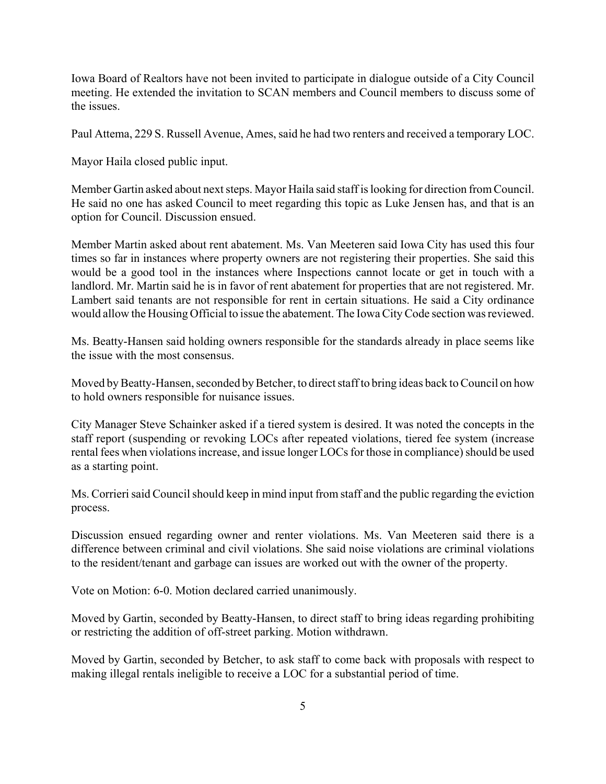Iowa Board of Realtors have not been invited to participate in dialogue outside of a City Council meeting. He extended the invitation to SCAN members and Council members to discuss some of the issues.

Paul Attema, 229 S. Russell Avenue, Ames, said he had two renters and received a temporary LOC.

Mayor Haila closed public input.

Member Gartin asked about next steps. Mayor Haila said staff is looking for direction from Council. He said no one has asked Council to meet regarding this topic as Luke Jensen has, and that is an option for Council. Discussion ensued.

Member Martin asked about rent abatement. Ms. Van Meeteren said Iowa City has used this four times so far in instances where property owners are not registering their properties. She said this would be a good tool in the instances where Inspections cannot locate or get in touch with a landlord. Mr. Martin said he is in favor of rent abatement for properties that are not registered. Mr. Lambert said tenants are not responsible for rent in certain situations. He said a City ordinance would allow the Housing Official to issue the abatement. The Iowa City Code section was reviewed.

Ms. Beatty-Hansen said holding owners responsible for the standards already in place seems like the issue with the most consensus.

Moved by Beatty-Hansen, seconded by Betcher, to direct staff to bring ideas back to Council on how to hold owners responsible for nuisance issues.

City Manager Steve Schainker asked if a tiered system is desired. It was noted the concepts in the staff report (suspending or revoking LOCs after repeated violations, tiered fee system (increase rental fees when violations increase, and issue longer LOCs for those in compliance) should be used as a starting point.

Ms. Corrieri said Council should keep in mind input from staff and the public regarding the eviction process.

Discussion ensued regarding owner and renter violations. Ms. Van Meeteren said there is a difference between criminal and civil violations. She said noise violations are criminal violations to the resident/tenant and garbage can issues are worked out with the owner of the property.

Vote on Motion: 6-0. Motion declared carried unanimously.

Moved by Gartin, seconded by Beatty-Hansen, to direct staff to bring ideas regarding prohibiting or restricting the addition of off-street parking. Motion withdrawn.

Moved by Gartin, seconded by Betcher, to ask staff to come back with proposals with respect to making illegal rentals ineligible to receive a LOC for a substantial period of time.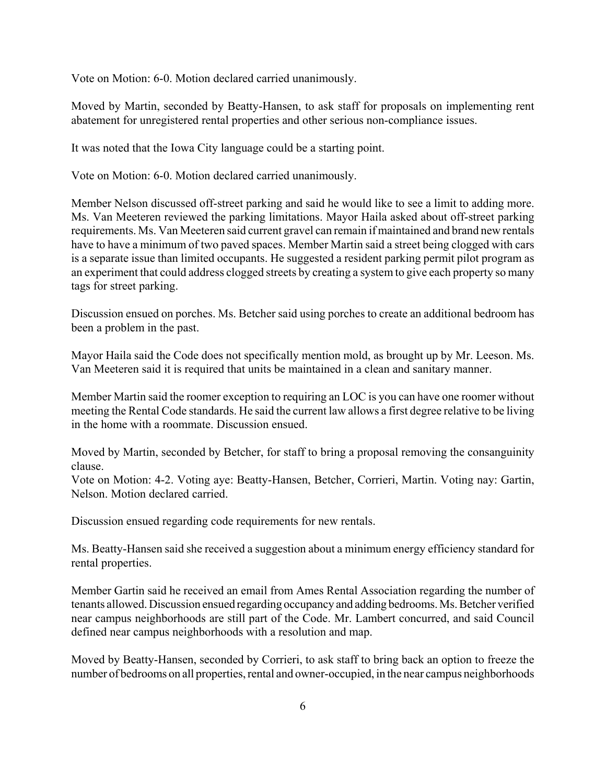Vote on Motion: 6-0. Motion declared carried unanimously.

Moved by Martin, seconded by Beatty-Hansen, to ask staff for proposals on implementing rent abatement for unregistered rental properties and other serious non-compliance issues.

It was noted that the Iowa City language could be a starting point.

Vote on Motion: 6-0. Motion declared carried unanimously.

Member Nelson discussed off-street parking and said he would like to see a limit to adding more. Ms. Van Meeteren reviewed the parking limitations. Mayor Haila asked about off-street parking requirements. Ms. Van Meeteren said current gravel can remain if maintained and brand new rentals have to have a minimum of two paved spaces. Member Martin said a street being clogged with cars is a separate issue than limited occupants. He suggested a resident parking permit pilot program as an experiment that could address clogged streets by creating a system to give each property so many tags for street parking.

Discussion ensued on porches. Ms. Betcher said using porches to create an additional bedroom has been a problem in the past.

Mayor Haila said the Code does not specifically mention mold, as brought up by Mr. Leeson. Ms. Van Meeteren said it is required that units be maintained in a clean and sanitary manner.

Member Martin said the roomer exception to requiring an LOC is you can have one roomer without meeting the Rental Code standards. He said the current law allows a first degree relative to be living in the home with a roommate. Discussion ensued.

Moved by Martin, seconded by Betcher, for staff to bring a proposal removing the consanguinity clause.

Vote on Motion: 4-2. Voting aye: Beatty-Hansen, Betcher, Corrieri, Martin. Voting nay: Gartin, Nelson. Motion declared carried.

Discussion ensued regarding code requirements for new rentals.

Ms. Beatty-Hansen said she received a suggestion about a minimum energy efficiency standard for rental properties.

Member Gartin said he received an email from Ames Rental Association regarding the number of tenants allowed. Discussion ensued regarding occupancy and adding bedrooms. Ms. Betcher verified near campus neighborhoods are still part of the Code. Mr. Lambert concurred, and said Council defined near campus neighborhoods with a resolution and map.

Moved by Beatty-Hansen, seconded by Corrieri, to ask staff to bring back an option to freeze the number of bedrooms on all properties, rental and owner-occupied, in the near campus neighborhoods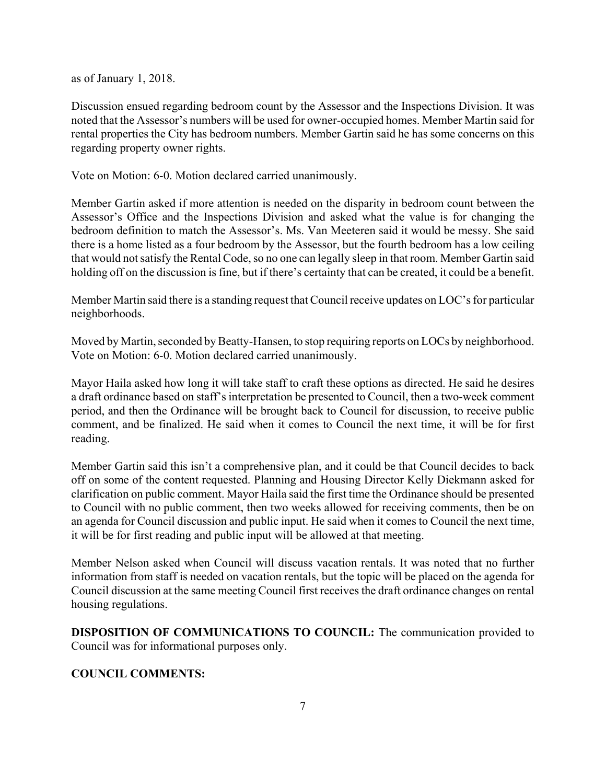as of January 1, 2018.

Discussion ensued regarding bedroom count by the Assessor and the Inspections Division. It was noted that the Assessor's numbers will be used for owner-occupied homes. Member Martin said for rental properties the City has bedroom numbers. Member Gartin said he has some concerns on this regarding property owner rights.

Vote on Motion: 6-0. Motion declared carried unanimously.

Member Gartin asked if more attention is needed on the disparity in bedroom count between the Assessor's Office and the Inspections Division and asked what the value is for changing the bedroom definition to match the Assessor's. Ms. Van Meeteren said it would be messy. She said there is a home listed as a four bedroom by the Assessor, but the fourth bedroom has a low ceiling that would not satisfy the Rental Code, so no one can legally sleep in that room. Member Gartin said holding off on the discussion is fine, but if there's certainty that can be created, it could be a benefit.

Member Martin said there is a standing request that Council receive updates on LOC's for particular neighborhoods.

Moved by Martin, seconded by Beatty-Hansen, to stop requiring reports on LOCs by neighborhood. Vote on Motion: 6-0. Motion declared carried unanimously.

Mayor Haila asked how long it will take staff to craft these options as directed. He said he desires a draft ordinance based on staff's interpretation be presented to Council, then a two-week comment period, and then the Ordinance will be brought back to Council for discussion, to receive public comment, and be finalized. He said when it comes to Council the next time, it will be for first reading.

Member Gartin said this isn't a comprehensive plan, and it could be that Council decides to back off on some of the content requested. Planning and Housing Director Kelly Diekmann asked for clarification on public comment. Mayor Haila said the first time the Ordinance should be presented to Council with no public comment, then two weeks allowed for receiving comments, then be on an agenda for Council discussion and public input. He said when it comes to Council the next time, it will be for first reading and public input will be allowed at that meeting.

Member Nelson asked when Council will discuss vacation rentals. It was noted that no further information from staff is needed on vacation rentals, but the topic will be placed on the agenda for Council discussion at the same meeting Council first receives the draft ordinance changes on rental housing regulations.

**DISPOSITION OF COMMUNICATIONS TO COUNCIL:** The communication provided to Council was for informational purposes only.

## **COUNCIL COMMENTS:**